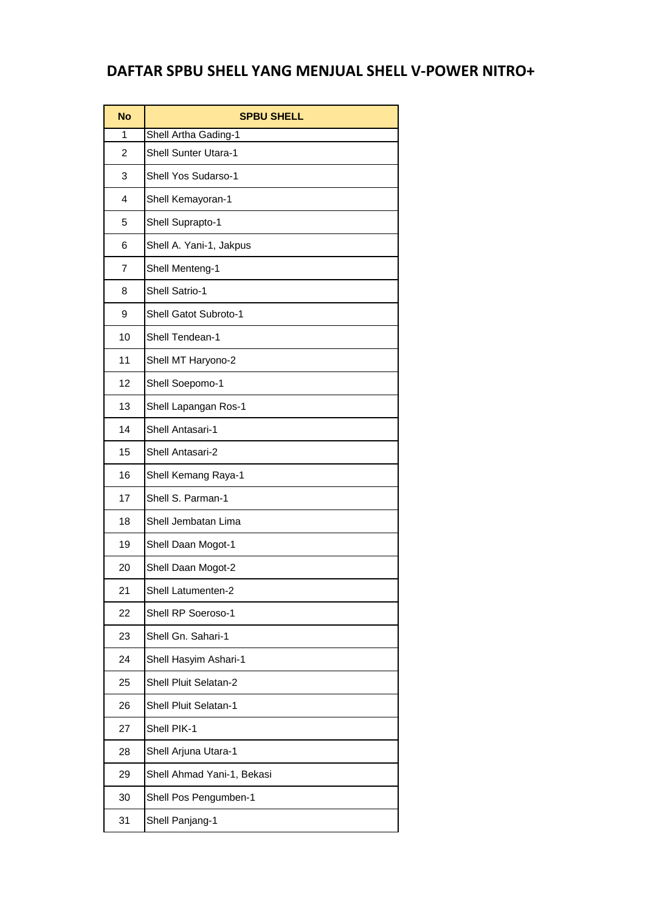## **DAFTAR SPBU SHELL YANG MENJUAL SHELL V-POWER NITRO+**

| <b>No</b>               | <b>SPBU SHELL</b>            |
|-------------------------|------------------------------|
| 1                       | Shell Artha Gading-1         |
| 2                       | <b>Shell Sunter Utara-1</b>  |
| 3                       | Shell Yos Sudarso-1          |
| $\overline{\mathbf{4}}$ | Shell Kemayoran-1            |
| 5                       | Shell Suprapto-1             |
| 6                       | Shell A. Yani-1, Jakpus      |
| $\overline{7}$          | Shell Menteng-1              |
| 8                       | <b>Shell Satrio-1</b>        |
| 9                       | <b>Shell Gatot Subroto-1</b> |
| 10                      | Shell Tendean-1              |
| 11                      | Shell MT Haryono-2           |
| 12                      | Shell Soepomo-1              |
| 13                      | Shell Lapangan Ros-1         |
| 14                      | Shell Antasari-1             |
| 15                      | Shell Antasari-2             |
| 16                      | Shell Kemang Raya-1          |
| 17                      | Shell S. Parman-1            |
| 18                      | Shell Jembatan Lima          |
| 19                      | Shell Daan Mogot-1           |
| 20                      | Shell Daan Mogot-2           |
| 21                      | <b>Shell Latumenten-2</b>    |
| 22                      | Shell RP Soeroso-1           |
| 23                      | Shell Gn. Sahari-1           |
| 24                      | Shell Hasyim Ashari-1        |
| 25                      | Shell Pluit Selatan-2        |
| 26                      | <b>Shell Pluit Selatan-1</b> |
| 27                      | Shell PIK-1                  |
| 28                      | Shell Arjuna Utara-1         |
| 29                      | Shell Ahmad Yani-1, Bekasi   |
| 30                      | Shell Pos Pengumben-1        |
| 31                      | Shell Panjang-1              |